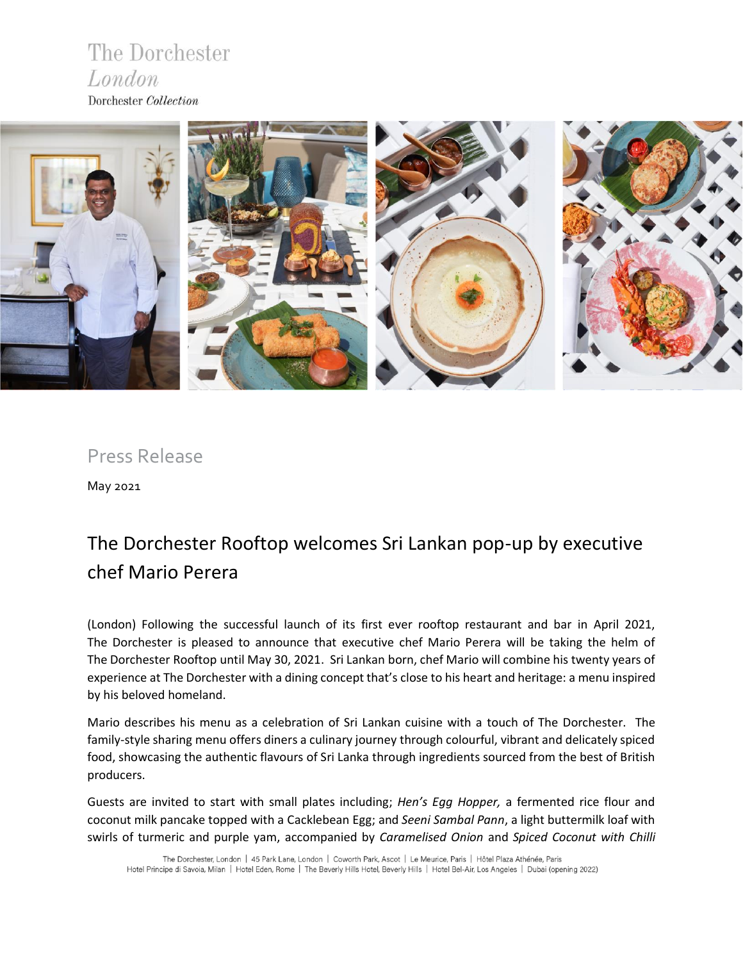### The Dorchester London Dorchester Collection



Press Release

May 2021

## The Dorchester Rooftop welcomes Sri Lankan pop-up by executive chef Mario Perera

(London) Following the successful launch of its first ever rooftop restaurant and bar in April 2021, The Dorchester is pleased to announce that executive chef Mario Perera will be taking the helm of The Dorchester Rooftop until May 30, 2021. Sri Lankan born, chef Mario will combine his twenty years of experience at The Dorchester with a dining concept that's close to his heart and heritage: a menu inspired by his beloved homeland.

Mario describes his menu as a celebration of Sri Lankan cuisine with a touch of The Dorchester. The family-style sharing menu offers diners a culinary journey through colourful, vibrant and delicately spiced food, showcasing the authentic flavours of Sri Lanka through ingredients sourced from the best of British producers.

Guests are invited to start with small plates including; *Hen's Egg Hopper,* a fermented rice flour and coconut milk pancake topped with a Cacklebean Egg; and *Seeni Sambal Pann*, a light buttermilk loaf with swirls of turmeric and purple yam, accompanied by *Caramelised Onion* and *Spiced Coconut with Chilli*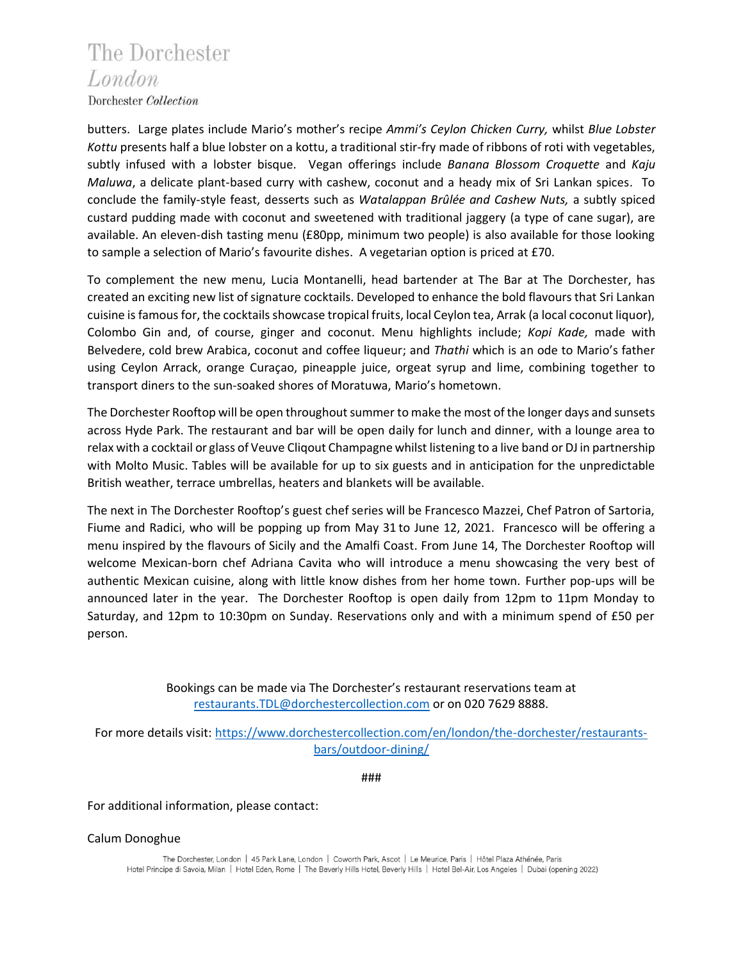# The Dorchester London

Dorchester Collection

butters. Large plates include Mario's mother's recipe *Ammi's Ceylon Chicken Curry,* whilst *Blue Lobster Kottu* presents half a blue lobster on a kottu, a traditional stir-fry made of ribbons of roti with vegetables, subtly infused with a lobster bisque. Vegan offerings include *Banana Blossom Croquette* and *Kaju Maluwa*, a delicate plant-based curry with cashew, coconut and a heady mix of Sri Lankan spices. To conclude the family-style feast, desserts such as *Watalappan Brûlée and Cashew Nuts,* a subtly spiced custard pudding made with coconut and sweetened with traditional jaggery (a type of cane sugar), are available. An eleven-dish tasting menu (£80pp, minimum two people) is also available for those looking to sample a selection of Mario's favourite dishes. A vegetarian option is priced at £70.

To complement the new menu, Lucia Montanelli, head bartender at The Bar at The Dorchester, has created an exciting new list of signature cocktails. Developed to enhance the bold flavours that Sri Lankan cuisine is famous for, the cocktails showcase tropical fruits, local Ceylon tea, Arrak (a local coconut liquor), Colombo Gin and, of course, ginger and coconut. Menu highlights include; *Kopi Kade,* made with Belvedere, cold brew Arabica, coconut and coffee liqueur; and *Thathi* which is an ode to Mario's father using Ceylon Arrack, orange Curaçao, pineapple juice, orgeat syrup and lime, combining together to transport diners to the sun-soaked shores of Moratuwa, Mario's hometown.

The Dorchester Rooftop will be open throughout summer to make the most of the longer days and sunsets across Hyde Park. The restaurant and bar will be open daily for lunch and dinner, with a lounge area to relax with a cocktail or glass of Veuve Cliqout Champagne whilst listening to a live band or DJ in partnership with Molto Music. Tables will be available for up to six guests and in anticipation for the unpredictable British weather, terrace umbrellas, heaters and blankets will be available.

The next in The Dorchester Rooftop's guest chef series will be Francesco Mazzei, Chef Patron of Sartoria, Fiume and Radici, who will be popping up from May 31 to June 12, 2021. Francesco will be offering a menu inspired by the flavours of Sicily and the Amalfi Coast. From June 14, The Dorchester Rooftop will welcome Mexican-born chef Adriana Cavita who will introduce a menu showcasing the very best of authentic Mexican cuisine, along with little know dishes from her home town. Further pop-ups will be announced later in the year. The Dorchester Rooftop is open daily from 12pm to 11pm Monday to Saturday, and 12pm to 10:30pm on Sunday. Reservations only and with a minimum spend of £50 per person.

> Bookings can be made via The Dorchester's restaurant reservations team at [restaurants.TDL@dorchestercollection.com](mailto:restaurants.TDL@dorchestercollection.com) or on 020 7629 8888.

For more details visit: [https://www.dorchestercollection.com/en/london/the-dorchester/restaurants](https://www.dorchestercollection.com/en/london/the-dorchester/restaurants-bars/outdoor-dining/)[bars/outdoor-dining/](https://www.dorchestercollection.com/en/london/the-dorchester/restaurants-bars/outdoor-dining/)

###

For additional information, please contact:

Calum Donoghue

The Dorchester, London | 45 Park Lane, London | Coworth Park, Ascot | Le Meurice, Paris | Hôtel Plaza Athénée, Paris Hotel Principe di Savoia, Milan | Hotel Eden, Rome | The Beverly Hills Hotel, Beverly Hills | Hotel Bel-Air, Los Angeles | Dubai (opening 2022)